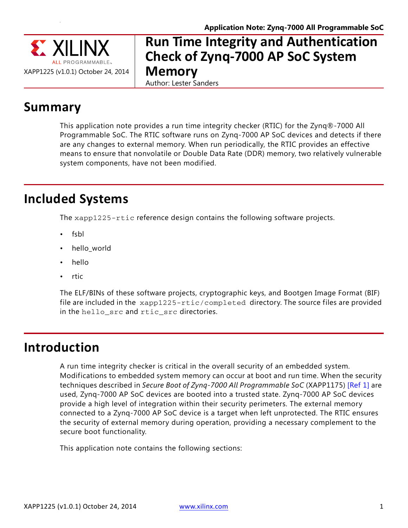

#### **Run Time Integrity and Authentication Check of Zynq-7000 AP SoC System Memory** Author: Lester Sanders

**Summary**

This application note provides a run time integrity checker (RTIC) for the Zynq®-7000 All Programmable SoC. The RTIC software runs on Zynq-7000 AP SoC devices and detects if there are any changes to external memory. When run periodically, the RTIC provides an effective means to ensure that nonvolatile or Double Data Rate (DDR) memory, two relatively vulnerable system components, have not been modified.

## **Included Systems**

The xapp1225-rtic reference design contains the following software projects.

- fsbl
- hello\_world
- hello
- rtic

The ELF/BINs of these software projects, cryptographic keys, and Bootgen Image Format (BIF) file are included in the xapp1225-rtic/completed directory. The source files are provided in the hello\_src and rtic\_src directories.

## **Introduction**

A run time integrity checker is critical in the overall security of an embedded system. Modifications to embedded system memory can occur at boot and run time. When the security techniques described in *Secure Boot of Zynq-7000 All Programmable SoC* (XAPP1175) [\[Ref 1\]](#page-11-0) are used, Zynq-7000 AP SoC devices are booted into a trusted state. Zynq-7000 AP SoC devices provide a high level of integration within their security perimeters. The external memory connected to a Zynq-7000 AP SoC device is a target when left unprotected. The RTIC ensures the security of external memory during operation, providing a necessary complement to the secure boot functionality.

This application note contains the following sections: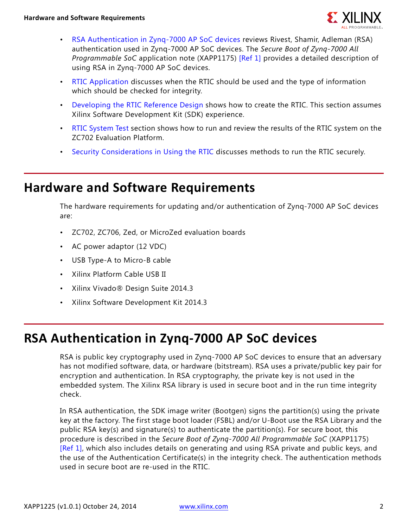

- [RSA Authentication in Zynq-7000 AP SoC devices](#page-1-0) reviews Rivest, Shamir, Adleman (RSA) authentication used in Zynq-7000 AP SoC devices. The *Secure Boot of Zynq-7000 All Programmable SoC* application note (XAPP1175) [\[Ref 1\]](#page-11-0) provides a detailed description of using RSA in Zynq-7000 AP SoC devices.
- [RTIC Application](#page-2-0) discusses when the RTIC should be used and the type of information which should be checked for integrity.
- [Developing the RTIC Reference Design](#page-2-1) shows how to create the RTIC. This section assumes Xilinx Software Development Kit (SDK) experience.
- [RTIC System Test](#page-9-0) section shows how to run and review the results of the RTIC system on the ZC702 Evaluation Platform.
- [Security Considerations in Using the RTIC](#page-10-0) discusses methods to run the RTIC securely.

### **Hardware and Software Requirements**

The hardware requirements for updating and/or authentication of Zynq-7000 AP SoC devices are:

- ZC702, ZC706, Zed, or MicroZed evaluation boards
- AC power adaptor (12 VDC)
- USB Type-A to Micro-B cable
- Xilinx Platform Cable USB II
- Xilinx Vivado® Design Suite 2014.3
- Xilinx Software Development Kit 2014.3

# <span id="page-1-0"></span>**RSA Authentication in Zynq-7000 AP SoC devices**

RSA is public key cryptography used in Zynq-7000 AP SoC devices to ensure that an adversary has not modified software, data, or hardware (bitstream). RSA uses a private/public key pair for encryption and authentication. In RSA cryptography, the private key is not used in the embedded system. The Xilinx RSA library is used in secure boot and in the run time integrity check.

In RSA authentication, the SDK image writer (Bootgen) signs the partition(s) using the private key at the factory. The first stage boot loader (FSBL) and/or U-Boot use the RSA Library and the public RSA key(s) and signature(s) to authenticate the partition(s). For secure boot, this procedure is described in the *Secure Boot of Zynq-7000 All Programmable SoC* (XAPP1175) [\[Ref 1\]](#page-11-0), which also includes details on generating and using RSA private and public keys, and the use of the Authentication Certificate(s) in the integrity check. The authentication methods used in secure boot are re-used in the RTIC.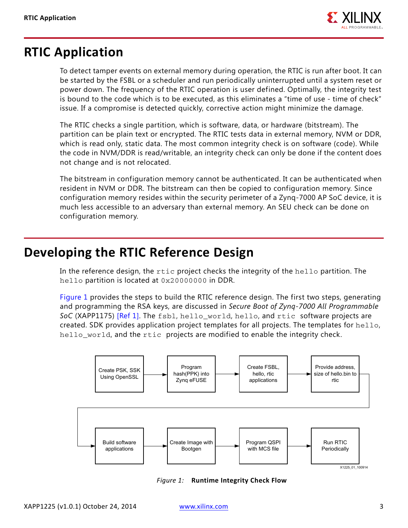

## <span id="page-2-0"></span>**RTIC Application**

To detect tamper events on external memory during operation, the RTIC is run after boot. It can be started by the FSBL or a scheduler and run periodically uninterrupted until a system reset or power down. The frequency of the RTIC operation is user defined. Optimally, the integrity test is bound to the code which is to be executed, as this eliminates a "time of use - time of check" issue. If a compromise is detected quickly, corrective action might minimize the damage.

The RTIC checks a single partition, which is software, data, or hardware (bitstream). The partition can be plain text or encrypted. The RTIC tests data in external memory, NVM or DDR, which is read only, static data. The most common integrity check is on software (code). While the code in NVM/DDR is read/writable, an integrity check can only be done if the content does not change and is not relocated.

The bitstream in configuration memory cannot be authenticated. It can be authenticated when resident in NVM or DDR. The bitstream can then be copied to configuration memory. Since configuration memory resides within the security perimeter of a Zynq-7000 AP SoC device, it is much less accessible to an adversary than external memory. An SEU check can be done on configuration memory.

## <span id="page-2-1"></span>**Developing the RTIC Reference Design**

In the reference design, the rtic project checks the integrity of the hello partition. The hello partition is located at 0x20000000 in DDR.

[Figure 1](#page-2-2) provides the steps to build the RTIC reference design. The first two steps, generating and programming the RSA keys, are discussed in *Secure Boot of Zynq-7000 All Programmable SoC* (XAPP1175) [\[Ref 1\].](#page-11-0) The fsbl, hello\_world, hello, and rtic software projects are created. SDK provides application project templates for all projects. The templates for hello, hello world, and the rtic projects are modified to enable the integrity check.

<span id="page-2-2"></span>

*Figure 1:* **Runtime Integrity Check Flow**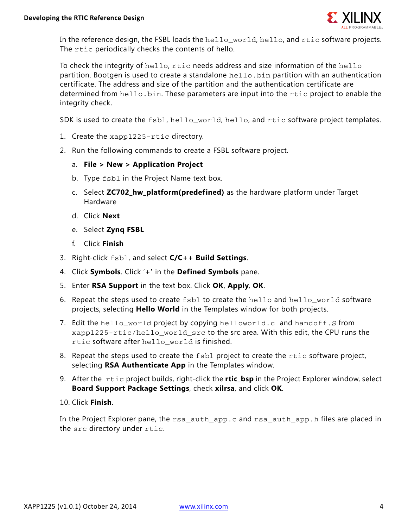

In the reference design, the FSBL loads the hello\_world, hello, and rtic software projects. The rtic periodically checks the contents of hello.

To check the integrity of hello, rtic needs address and size information of the hello partition. Bootgen is used to create a standalone hello.bin partition with an authentication certificate. The address and size of the partition and the authentication certificate are determined from hello.bin. These parameters are input into the rtic project to enable the integrity check.

SDK is used to create the fsbl, hello world, hello, and rtic software project templates.

- 1. Create the xapp1225-rtic directory.
- 2. Run the following commands to create a FSBL software project.
	- a. **File > New > Application Project**
	- b. Type fsbl in the Project Name text box.
	- c. Select **ZC702\_hw\_platform(predefined)** as the hardware platform under Target Hardware
	- d. Click **Next**
	- e. Select **Zynq FSBL**
	- f. Click **Finish**
- 3. Right-click fsbl, and select **C/C++ Build Settings**.
- 4. Click **Symbols**. Click '**+'** in the **Defined Symbols** pane.
- 5. Enter **RSA Support** in the text box. Click **OK**, **Apply**, **OK**.
- 6. Repeat the steps used to create fsbl to create the hello and hello\_world software projects, selecting **Hello World** in the Templates window for both projects.
- 7. Edit the hello\_world project by copying helloworld.c and handoff.S from xapp1225-rtic/hello\_world\_src to the src area. With this edit, the CPU runs the rtic software after hello world is finished.
- 8. Repeat the steps used to create the fsbl project to create the rtic software project, selecting **RSA Authenticate App** in the Templates window.
- 9. After the rtic project builds, right-click the **rtic\_bsp** in the Project Explorer window, select **Board Support Package Settings**, check **xilrsa**, and click **OK**.
- 10. Click **Finish**.

In the Project Explorer pane, the rsa auth app.c and rsa auth app. h files are placed in the src directory under rtic.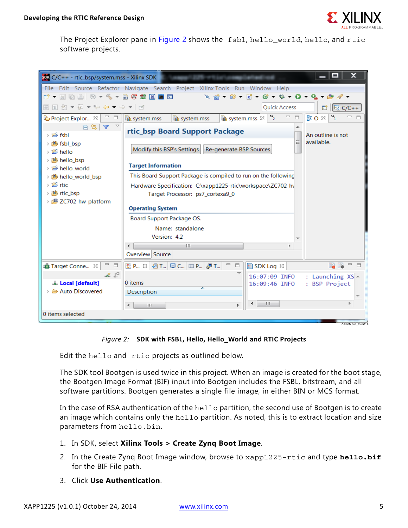

The Project Explorer pane in [Figure 2](#page-4-0) shows the fsbl, hello\_world, hello, and rtic software projects.

<span id="page-4-0"></span>

| <b>SON</b> C/C++ - rtic_bsp/system.mss - Xilinx SDK                                                                                                                                                                                                                        |                                                                                         |                                     | - 0<br>x                                            |
|----------------------------------------------------------------------------------------------------------------------------------------------------------------------------------------------------------------------------------------------------------------------------|-----------------------------------------------------------------------------------------|-------------------------------------|-----------------------------------------------------|
|                                                                                                                                                                                                                                                                            | File Edit Source Refactor Navigate Search Project Xilinx Tools Run Window Help          |                                     |                                                     |
|                                                                                                                                                                                                                                                                            |                                                                                         |                                     |                                                     |
| ▣ူူ /ø ▼ ⁄҈ ▼ ↔  ↔ ▼ ↔ ▼│ ⋻                                                                                                                                                                                                                                                |                                                                                         | <b>Quick Access</b>                 | <b>fil   Ha C/C++</b>                               |
| Project Explor $\boxtimes$<br>□                                                                                                                                                                                                                                            | $\mathbf{R}$ system.mss $\mathbb{X}$  <br><b>R</b> system.mss<br><b>In</b> system.mss   | $\mathbf{v}_i$<br>$\qquad \qquad =$ | BEO ※<br>$\mathbf{P}_{1}$<br>$\qquad \qquad =$<br>目 |
| $\Box$ $\mathbb{Z}$ $\Delta$ $\Delta$<br>⊳ i <sup>es</sup> fsbl<br>▷ 1 fsbl bsp                                                                                                                                                                                            | rtic_bsp Board Support Package<br>Modify this BSP's Settings<br>Re-generate BSP Sources |                                     | An outline is not<br>available.                     |
| ▷ li <sup>es</sup> hello<br>▷ 1些 hello_bsp<br>D interval belote interval in the set of the set of the set of the set of the set of the set of the set of the set of the set of the set of the set of the set of the set of the set of the set of the set of the set of the | <b>Target Information</b>                                                               |                                     |                                                     |
| ▷ 1999 hello_world_bsp                                                                                                                                                                                                                                                     | This Board Support Package is compiled to run on the following                          |                                     |                                                     |
| ▷ intic                                                                                                                                                                                                                                                                    | Hardware Specification: C:\xapp1225-rtic\workspace\ZC702 h\                             |                                     |                                                     |
| ▷ (1996) rtic_bsp<br>▷ 得 ZC702 hw platform                                                                                                                                                                                                                                 | Target Processor: ps7_cortexa9_0                                                        |                                     |                                                     |
|                                                                                                                                                                                                                                                                            | <b>Operating System</b>                                                                 |                                     |                                                     |
|                                                                                                                                                                                                                                                                            | Board Support Package OS.                                                               |                                     |                                                     |
|                                                                                                                                                                                                                                                                            | Name: standalone                                                                        |                                     |                                                     |
|                                                                                                                                                                                                                                                                            | Version: 4.2                                                                            |                                     |                                                     |
|                                                                                                                                                                                                                                                                            | Ш<br>∢                                                                                  |                                     |                                                     |
|                                                                                                                                                                                                                                                                            | Overview Source                                                                         |                                     |                                                     |
| $\qquad \qquad \Box$<br>Target Conne $\boxtimes$                                                                                                                                                                                                                           | $\qquad \qquad =$<br>R P 3 2 T 9 T 9 C 9 D 9 2 3 1<br>$\Box$                            | SDK Log $\otimes$                   | ■■■□□                                               |
| 9⊥ م2∟                                                                                                                                                                                                                                                                     |                                                                                         | 16:07:09 INFO                       | : Launching $XS -$                                  |
| Local [default]                                                                                                                                                                                                                                                            | 0 items<br>≖                                                                            | 16:09:46 INFO                       | : BSP Project                                       |
| ▷ <b><i>D</i></b> Auto Discovered                                                                                                                                                                                                                                          | <b>Description</b>                                                                      |                                     |                                                     |
|                                                                                                                                                                                                                                                                            | HL.                                                                                     | Ш                                   | Þ.                                                  |
| 0 items selected                                                                                                                                                                                                                                                           |                                                                                         |                                     |                                                     |
|                                                                                                                                                                                                                                                                            |                                                                                         |                                     | X1225_02_102214                                     |

*Figure 2:* **SDK with FSBL, Hello, Hello\_World and RTIC Projects**

Edit the hello and rtic projects as outlined below.

The SDK tool Bootgen is used twice in this project. When an image is created for the boot stage, the Bootgen Image Format (BIF) input into Bootgen includes the FSBL, bitstream, and all software partitions. Bootgen generates a single file image, in either BIN or MCS format.

In the case of RSA authentication of the hello partition, the second use of Bootgen is to create an image which contains only the hello partition. As noted, this is to extract location and size parameters from hello.bin.

- 1. In SDK, select **Xilinx Tools > Create Zynq Boot Image**.
- 2. In the Create Zynq Boot Image window, browse to xapp1225-rtic and type **hello.bif** for the BIF File path.
- 3. Click **Use Authentication**.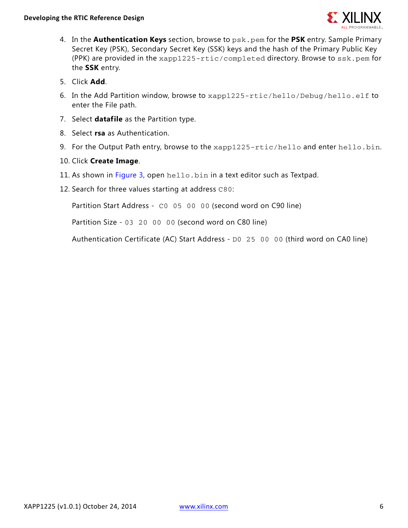

- 4. In the **Authentication Keys** section, browse to psk.pem for the **PSK** entry. Sample Primary Secret Key (PSK), Secondary Secret Key (SSK) keys and the hash of the Primary Public Key (PPK) are provided in the xapp1225-rtic/completed directory. Browse to ssk.pem for the **SSK** entry.
- 5. Click **Add**.
- 6. In the Add Partition window, browse to xapp1225-rtic/hello/Debug/hello.elf to enter the File path.
- 7. Select **datafile** as the Partition type.
- 8. Select **rsa** as Authentication.
- 9. For the Output Path entry, browse to the xapp1225-rtic/hello and enter hello.bin.
- 10. Click **Create Image**.
- 11. As shown in [Figure 3,](#page-6-0) open hello.bin in a text editor such as Textpad.
- 12. Search for three values starting at address C80:

Partition Start Address - C0 05 00 00 (second word on C90 line)

Partition Size - 03 20 00 00 (second word on C80 line)

Authentication Certificate (AC) Start Address - D0 25 00 00 (third word on CA0 line)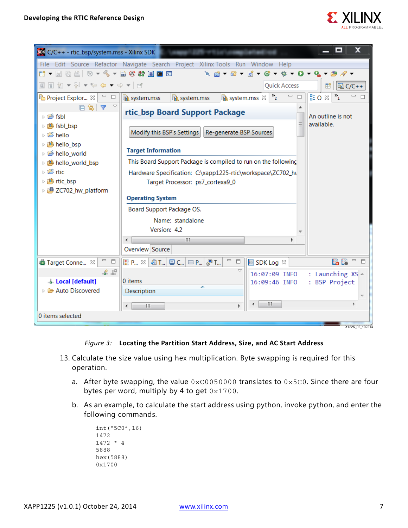

<span id="page-6-0"></span>

| $500 \, \text{C/C++}$ - rtic_bsp/system.mss - Xilinx SDK        |                                                                                         |                                                            | - 0<br>x                             |
|-----------------------------------------------------------------|-----------------------------------------------------------------------------------------|------------------------------------------------------------|--------------------------------------|
|                                                                 | File Edit Source Refactor Navigate Search Project Xilinx Tools Run Window Help          |                                                            |                                      |
|                                                                 |                                                                                         |                                                            |                                      |
| ▣ူူ ଯ ▼ ଆ ▼ ਇ ↔ ← ← ← ► │ ਕਾਂ                                   |                                                                                         | <b>Quick Access</b>                                        | Ha C/C++<br>昏                        |
| La Project Explor $\boxtimes$   □ □                             | <b>In</b> system.mss<br><b>In</b> system.mss                                            | $= 5$<br>$\mathbf{v}_{2}$<br><b>R</b> system.mss $\otimes$ | $E_0 \otimes$ $\frac{1}{1}$<br>$= 5$ |
| $\Box \subseteq \Box$<br>▷ 后 fsbl<br>▷ 14 fsbl_bsp<br>▷ linello | rtic_bsp Board Support Package<br>Modify this BSP's Settings<br>Re-generate BSP Sources |                                                            | An outline is not<br>available.      |
| ▷ 1些 hello_bsp<br>▷ i i bello_world                             | <b>Target Information</b>                                                               |                                                            |                                      |
| ▷ 1999 hello_world_bsp                                          | This Board Support Package is compiled to run on the following                          |                                                            |                                      |
| ▷ l ic                                                          | Hardware Specification: C:\xapp1225-rtic\workspace\ZC702_h\                             |                                                            |                                      |
| ▷ 心 rtic_bsp<br>▷ 週 ZC702_hw_platform                           | Target Processor: ps7_cortexa9_0                                                        |                                                            |                                      |
|                                                                 | <b>Operating System</b>                                                                 |                                                            |                                      |
|                                                                 | Board Support Package OS.                                                               |                                                            |                                      |
|                                                                 | Name: standalone                                                                        |                                                            |                                      |
|                                                                 | Version: 4.2                                                                            |                                                            |                                      |
|                                                                 | Ш                                                                                       |                                                            |                                      |
|                                                                 | Overview Source                                                                         |                                                            |                                      |
| $\qquad \qquad =$<br>$\Box$<br>Target Conne &                   | $\qquad \qquad =$<br>$\Box$<br>R P., ※ 2 T., D C., D P., P. P                           | SDK Log &                                                  | BB -<br>□                            |
| ื้ืื                                                            | $\overline{\phantom{0}}$                                                                | 16:07:09 INFO                                              | : Launching $XS -$                   |
| Local [default]                                                 | 0 items<br>∽                                                                            | 16:09:46 INFO                                              | : BSP Project                        |
| ▷ <b><i>D</i></b> Auto Discovered                               | Description                                                                             |                                                            |                                      |
|                                                                 | b.<br>HH.                                                                               | m                                                          |                                      |
| 0 items selected                                                |                                                                                         |                                                            |                                      |
|                                                                 |                                                                                         |                                                            | X1225_02_102214                      |

#### *Figure 3:* **Locating the Partition Start Address, Size, and AC Start Address**

- 13. Calculate the size value using hex multiplication. Byte swapping is required for this operation.
	- a. After byte swapping, the value 0xC0050000 translates to 0x5C0. Since there are four bytes per word, multiply by 4 to get 0x1700.
	- b. As an example, to calculate the start address using python, invoke python, and enter the following commands.

```
int("5C0",16)
1472
1472 * 4
5888
hex(5888)
0x1700
```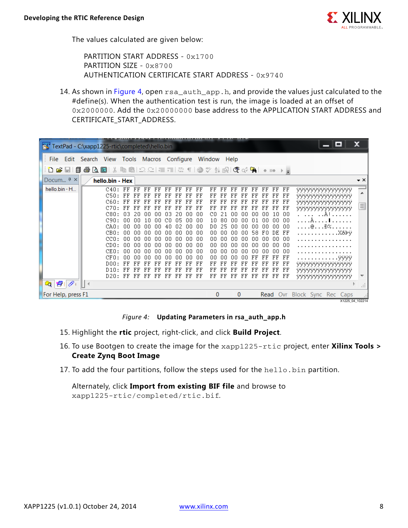

The values calculated are given below:

PARTITION START ADDRESS - 0x1700 PARTITION SIZE - 0x8700 AUTHENTICATION CERTIFICATE START ADDRESS - 0x9740

14. As shown in [Figure 4,](#page-7-0) open  $rsa_auth_app.h$ , and provide the values just calculated to the #define(s). When the authentication test is run, the image is loaded at an offset of 0x2000000. Add the 0x20000000 base address to the APPLICATION START ADDRESS and CERTIFICATE\_START\_ADDRESS.

<span id="page-7-0"></span>

| SC TextPad - C:\xapp1225-rtic\completed\hello.bin        |     |                                                                                                      |                                                          |                                                                      |                                                                            |                                                                              |                                                                |                                                                       |                                                                              |                                                                        |                                                                      |                                                                |                                                                      |                                                                        |                                                                        |                                                                        |                                                                            |                                                                     |  | ▭                                                                                                                                                                     | X                   |          |
|----------------------------------------------------------|-----|------------------------------------------------------------------------------------------------------|----------------------------------------------------------|----------------------------------------------------------------------|----------------------------------------------------------------------------|------------------------------------------------------------------------------|----------------------------------------------------------------|-----------------------------------------------------------------------|------------------------------------------------------------------------------|------------------------------------------------------------------------|----------------------------------------------------------------------|----------------------------------------------------------------|----------------------------------------------------------------------|------------------------------------------------------------------------|------------------------------------------------------------------------|------------------------------------------------------------------------|----------------------------------------------------------------------------|---------------------------------------------------------------------|--|-----------------------------------------------------------------------------------------------------------------------------------------------------------------------|---------------------|----------|
| File Edit Search View Tools Macros Configure Window Help |     |                                                                                                      |                                                          |                                                                      |                                                                            |                                                                              |                                                                |                                                                       |                                                                              |                                                                        |                                                                      |                                                                |                                                                      |                                                                        |                                                                        |                                                                        |                                                                            |                                                                     |  |                                                                                                                                                                       |                     |          |
|                                                          |     |                                                                                                      |                                                          |                                                                      |                                                                            |                                                                              |                                                                |                                                                       |                                                                              |                                                                        |                                                                      |                                                                |                                                                      |                                                                        |                                                                        |                                                                        |                                                                            |                                                                     |  |                                                                                                                                                                       |                     |          |
| Docum $4 \times$                                         |     | hello.bin - Hex                                                                                      |                                                          |                                                                      |                                                                            |                                                                              |                                                                |                                                                       |                                                                              |                                                                        |                                                                      |                                                                |                                                                      |                                                                        |                                                                        |                                                                        |                                                                            |                                                                     |  |                                                                                                                                                                       | $\mathbf{v} \times$ |          |
| hello.bin - H                                            |     | C40:FF<br>C50: FF<br>C60:<br>C70:FF<br>C80:<br>C90 :<br>CAO:<br>CBO:<br>cc0:<br>CDO:<br>CEO:<br>CFD: | FF<br>nз<br>.nn<br>.nn<br>nn<br>.nn<br>.nn<br>.nn<br>.nn | FF<br>FF<br>FF<br>FF<br>2Π<br>nn<br>nn<br>nn<br>ΩO<br>nn<br>ΠN<br>nn | FF.<br>FF<br>FF<br>FF<br>пn<br>10<br>.nn<br>.nn<br>.nn<br>.nn<br>.nn<br>nn | FF FF<br>FF<br>FF<br>FF<br>nп<br>nn.<br>.nn<br>.nn<br>-00<br>.nn<br>00<br>nn | FF<br>FF<br>nз<br>CO.<br>40<br>nn.<br>00.<br>.nn<br>nn.<br>.nn | FF<br>FF<br>FF<br>20<br>-05<br>n2.<br>.nn<br>-00-<br>.nn<br>nn.<br>nn | FF.<br>FF<br>FF<br>FF<br>nn<br>.nn<br>.nn<br>.nn<br>-00<br>.nn<br>.nn<br>.nn | FF<br>FF<br>FF<br>FF<br>n٨<br>00<br>n۵<br>-nn<br>00<br>n۵<br>.nn<br>n۵ | FF<br>FF<br>FF<br>FF<br>CО<br>10<br>D0<br>00<br>00<br>00<br>00<br>00 | FF<br>FF<br>FF<br>FF<br>80<br>25<br>nn<br>00<br>nn<br>nn<br>пn | FF<br>FF<br>FF<br>FF<br>пn<br>nη<br>ΩO<br>nn<br>ΠN<br>ΠN<br>nn<br>nn | FF<br>FF<br>FF<br>FF<br>nn<br>.nn<br>ΩO<br>.nn<br>ΩO<br>ΩO<br>ΩO<br>nn | FF<br>FF<br>FF<br>FF<br>nn<br>n1<br>.nn<br>58<br>00<br>.nn<br>nn<br>FF | FF<br>FF<br>FF<br>FF<br>nn<br>nn<br>nπ<br>-F N<br>00<br>n٨<br>ΠN<br>FF | FF<br>FF<br>FF<br>FF<br>10<br>00<br>nn.<br>DE FF<br>-00<br>.nn<br>nn<br>FF | FF<br>FF<br>FF<br>FF<br>00<br>-00<br>-00<br>-00<br>-00<br>-00<br>FF |  | <b><i>YYYYYYYYYYYYYYY</i></b><br><b>YYYYYYYYYYYYYY</b><br><b>YYYYYYYYYYYYYYY</b><br><i><b>YYYYYYYYYYYYYYY</b></i><br>. . A !<br>.A. <b>I</b><br>@Đ%<br>XåÞÿ<br>. VVVV |                     | $\equiv$ |
| $\mathbf{Q}$ $\mathbf{E}$ $\mathcal{O}$                  | ∥∣∢ | DOO:<br>D10:<br>D20: FF                                                                              | 下耳<br>FF                                                 | FF<br>FF<br>FF                                                       | FF<br>FF<br>FF                                                             | FF<br>FF<br>FF                                                               | FF<br>FF<br>FF                                                 | FF<br>FF<br>FF                                                        | 下下<br>FF<br>FF                                                               | FF<br>FF<br>FF                                                         | FF<br>FF<br>FF                                                       | FF<br>FF                                                       | FF<br>FF<br>FF                                                       | FF<br>FF<br>FF                                                         | FF<br>FF<br>FF                                                         | FF<br>FF<br>FF                                                         | FF<br>FF<br>FF                                                             | FF<br>FF<br>FF                                                      |  | <b><i>YYYYYYYYYYYYYYY</i></b><br>yyyyyyyyyyyyyy<br><b>YYYYYYYYYYYYYYY</b>                                                                                             |                     |          |
| For Help, press F1                                       |     |                                                                                                      |                                                          |                                                                      |                                                                            |                                                                              |                                                                |                                                                       |                                                                              |                                                                        | $\bf{0}$                                                             |                                                                | 0                                                                    |                                                                        |                                                                        |                                                                        |                                                                            |                                                                     |  | <b>Read</b> Ovr Block Sync Rec Caps                                                                                                                                   | X1225 04 102214     |          |

#### *Figure 4:* **Updating Parameters in rsa\_auth\_app.h**

- 15. Highlight the **rtic** project, right-click, and click **Build Project**.
- 16. To use Bootgen to create the image for the xapp1225-rtic project, enter **Xilinx Tools > Create Zynq Boot Image**
- 17. To add the four partitions, follow the steps used for the hello.bin partition.

Alternately, click **Import from existing BIF file** and browse to xapp1225-rtic/completed/rtic.bif.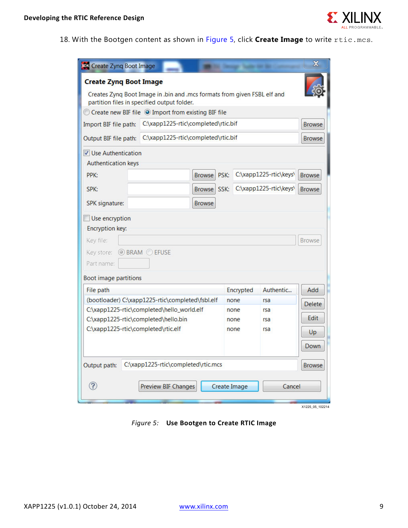

<span id="page-8-0"></span>18. With the Bootgen content as shown in [Figure 5](#page-8-0), click **Create Image** to write rtic.mcs.

| <b>SOU</b> Create Zynq Boot Image                                                                                                                  |                                                                                                                         |               |              |                              |                          | $\mathbf x$                         |  |  |
|----------------------------------------------------------------------------------------------------------------------------------------------------|-------------------------------------------------------------------------------------------------------------------------|---------------|--------------|------------------------------|--------------------------|-------------------------------------|--|--|
| <b>Create Zyng Boot Image</b>                                                                                                                      | Creates Zynq Boot Image in .bin and .mcs formats from given FSBL elf and<br>partition files in specified output folder. |               |              |                              |                          |                                     |  |  |
| Create new BIF file O Import from existing BIF file                                                                                                |                                                                                                                         |               |              |                              |                          |                                     |  |  |
| Import BIF file path:                                                                                                                              | C:\xapp1225-rtic\completed\rtic.bif                                                                                     |               |              |                              |                          |                                     |  |  |
| Output BIF file path:                                                                                                                              | C:\xapp1225-rtic\completed\rtic.bif                                                                                     |               |              |                              |                          | <b>Browse</b>                       |  |  |
| $\triangledown$ Use Authentication<br><b>Authentication keys</b>                                                                                   |                                                                                                                         |               |              |                              |                          |                                     |  |  |
| PPK:                                                                                                                                               |                                                                                                                         | <b>Browse</b> | PSK:         |                              | C:\xapp1225-rtic\keys\   | <b>Browse</b>                       |  |  |
| SPK:                                                                                                                                               |                                                                                                                         | <b>Browse</b> | SSK:         |                              | C:\xapp1225-rtic\keys\   | <b>Browse</b>                       |  |  |
| SPK signature:                                                                                                                                     |                                                                                                                         | <b>Browse</b> |              |                              |                          |                                     |  |  |
| Use encryption<br><b>Encryption key:</b><br>Key file:<br><b>Browse</b><br>Key store:<br><b>OBRAM OEFUSE</b><br>Part name:<br>Boot image partitions |                                                                                                                         |               |              |                              |                          |                                     |  |  |
| File path                                                                                                                                          |                                                                                                                         |               |              | Encrypted                    | Authentic                | Add                                 |  |  |
| C:\xapp1225-rtic\completed\hello.bin<br>C:\xapp1225-rtic\completed\rtic.elf                                                                        | (bootloader) C:\xapp1225-rtic\completed\fsbl.elf<br>C:\xapp1225-rtic\completed\hello_world.elf                          |               |              | none<br>none<br>none<br>none | rsa<br>rsa<br>rsa<br>rsa | <b>Delete</b><br>Edit<br>Up<br>Down |  |  |
| Output path:                                                                                                                                       | C:\xapp1225-rtic\completed\rtic.mcs                                                                                     |               |              |                              |                          | <b>Browse</b>                       |  |  |
| ?                                                                                                                                                  | <b>Preview BIF Changes</b>                                                                                              |               | Create Image |                              | Cancel                   |                                     |  |  |

*Figure 5:* **Use Bootgen to Create RTIC Image**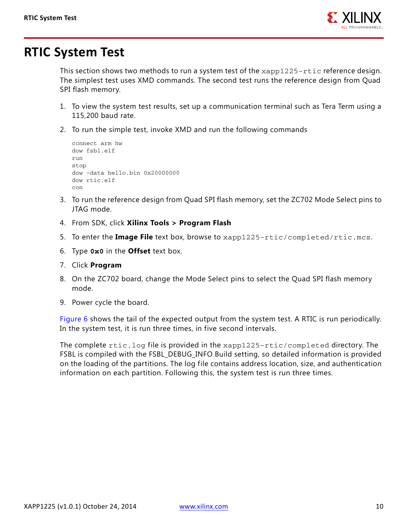

## <span id="page-9-0"></span>**RTIC System Test**

This section shows two methods to run a system test of the  $xapp1225-rtic$  reference design. The simplest test uses XMD commands. The second test runs the reference design from Quad SPI flash memory.

- 1. To view the system test results, set up a communication terminal such as Tera Term using a 115,200 baud rate.
- 2. To run the simple test, invoke XMD and run the following commands

```
connect arm hw
dow fsbl.elf
run
stop
dow -data hello.bin 0x20000000
dow rtic.elf
con
```
- 3. To run the reference design from Quad SPI flash memory, set the ZC702 Mode Select pins to JTAG mode.
- 4. From SDK, click **Xilinx Tools > Program Flash**
- 5. To enter the **Image File** text box, browse to xapp1225-rtic/completed/rtic.mcs.
- 6. Type **0x0** in the **Offset** text box.
- 7. Click **Program**
- 8. On the ZC702 board, change the Mode Select pins to select the Quad SPI flash memory mode.
- 9. Power cycle the board.

[Figure 6](#page-10-1) shows the tail of the expected output from the system test. A RTIC is run periodically. In the system test, it is run three times, in five second intervals.

The complete rtic.log file is provided in the xapp1225-rtic/completed directory. The FSBL is compiled with the FSBL\_DEBUG\_INFO Build setting, so detailed information is provided on the loading of the partitions. The log file contains address location, size, and authentication information on each partition. Following this, the system test is run three times.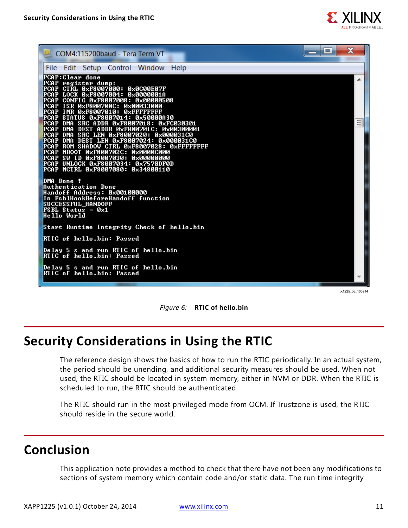

<span id="page-10-1"></span>

| H = 1<br>-<br>COM4:115200baud - Tera Term VT                                                                                                                                                                                                                                                                                                                                                                                                                                                            |   |
|---------------------------------------------------------------------------------------------------------------------------------------------------------------------------------------------------------------------------------------------------------------------------------------------------------------------------------------------------------------------------------------------------------------------------------------------------------------------------------------------------------|---|
| File Edit Setup Control Window<br><b>Help</b>                                                                                                                                                                                                                                                                                                                                                                                                                                                           |   |
| PCAP:Clear done<br>PCAP register dump:<br>PCAP CTRL 0xF8007000: 0x0C00E07F<br>PCAP LOCK 0xF8007004: 0x0000001A<br>PCAP CONFIG 0xF8007008: 0x00000508<br>PCAP ISR 0xF800700C: 0x00033000<br>PCAP IMR 0xF8007010: 0xFFFFFFFFF                                                                                                                                                                                                                                                                             | ▴ |
| PCAP STATUS 0xF8007014: 0x50000A30<br>PCAP DMA SRC ADDR 0xF8007018: 0xFC030301                                                                                                                                                                                                                                                                                                                                                                                                                          | Ξ |
| PCAP DMA DEST ADDR 0xF800701C: 0x00300001<br>PCAP DMA SRC LEN 0xF8007020: 0x000031C0<br>PCAP DMA DEST LEN 0xF8007024: 0x000031C0<br>PCAP ROM SHADOW CTRL 0xF8007028: 0xFFFFFFFFF<br>PCAP MBOOT 0xF800702C: 0x0000C000<br>PCAP SW ID 0xF8007030: 0x00000000<br>PCAP UNLOCK 0xF8007034: 0x757BDF0D<br>PCAP MCTRL 0xF8007080: 0x34800110<br>DMA Done !<br>Authentication Done<br><b>Handoff Address: 0x00100000</b><br>In FsblHookBeforeHandoff function<br><b>SUCCESSFUL_HANDOFF</b><br>FSBL Status = 0x1 |   |
| Hello World                                                                                                                                                                                                                                                                                                                                                                                                                                                                                             |   |
| Start Runtime Integrity Check of hello.bin                                                                                                                                                                                                                                                                                                                                                                                                                                                              |   |
| RTIC of hello.bin: Passed                                                                                                                                                                                                                                                                                                                                                                                                                                                                               |   |
| Delay 5 s and run RTIC of hello.bin<br>RIIC of hello.bin: Passed                                                                                                                                                                                                                                                                                                                                                                                                                                        |   |
| Delay 5 s and run RTIC of hello.bin<br>RIIC of hello.bin: Passed                                                                                                                                                                                                                                                                                                                                                                                                                                        |   |

X1225 06 100914



# <span id="page-10-0"></span>**Security Considerations in Using the RTIC**

The reference design shows the basics of how to run the RTIC periodically. In an actual system, the period should be unending, and additional security measures should be used. When not used, the RTIC should be located in system memory, either in NVM or DDR. When the RTIC is scheduled to run, the RTIC should be authenticated.

The RTIC should run in the most privileged mode from OCM. If Trustzone is used, the RTIC should reside in the secure world.

## **Conclusion**

This application note provides a method to check that there have not been any modifications to sections of system memory which contain code and/or static data. The run time integrity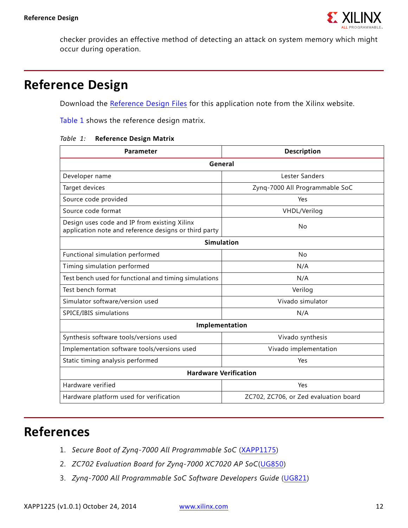

checker provides an effective method of detecting an attack on system memory which might occur during operation.

#### **Reference Design**

Download the [Reference Design Files](https://secure.xilinx.com/webreg/clickthrough.do?cid=370838) for this application note from the Xilinx website.

[Table 1](#page-11-1) shows the reference design matrix.

<span id="page-11-1"></span>

|  |  | Table 1: Reference Design Matrix |  |  |
|--|--|----------------------------------|--|--|
|--|--|----------------------------------|--|--|

| Parameter                                                                                             | <b>Description</b>                    |  |  |  |  |  |  |  |
|-------------------------------------------------------------------------------------------------------|---------------------------------------|--|--|--|--|--|--|--|
| General                                                                                               |                                       |  |  |  |  |  |  |  |
| Developer name                                                                                        | Lester Sanders                        |  |  |  |  |  |  |  |
| Target devices                                                                                        | Zynq-7000 All Programmable SoC        |  |  |  |  |  |  |  |
| Source code provided                                                                                  | Yes                                   |  |  |  |  |  |  |  |
| Source code format                                                                                    | VHDL/Verilog                          |  |  |  |  |  |  |  |
| Design uses code and IP from existing Xilinx<br>application note and reference designs or third party | No                                    |  |  |  |  |  |  |  |
| <b>Simulation</b>                                                                                     |                                       |  |  |  |  |  |  |  |
| Functional simulation performed                                                                       | No                                    |  |  |  |  |  |  |  |
| Timing simulation performed                                                                           | N/A                                   |  |  |  |  |  |  |  |
| Test bench used for functional and timing simulations                                                 | N/A                                   |  |  |  |  |  |  |  |
| Test bench format                                                                                     | Verilog                               |  |  |  |  |  |  |  |
| Simulator software/version used                                                                       | Vivado simulator                      |  |  |  |  |  |  |  |
| SPICE/IBIS simulations                                                                                | N/A                                   |  |  |  |  |  |  |  |
|                                                                                                       | Implementation                        |  |  |  |  |  |  |  |
| Synthesis software tools/versions used                                                                | Vivado synthesis                      |  |  |  |  |  |  |  |
| Implementation software tools/versions used                                                           | Vivado implementation                 |  |  |  |  |  |  |  |
| Static timing analysis performed                                                                      | Yes                                   |  |  |  |  |  |  |  |
| <b>Hardware Verification</b>                                                                          |                                       |  |  |  |  |  |  |  |
| Hardware verified                                                                                     | Yes                                   |  |  |  |  |  |  |  |
| Hardware platform used for verification                                                               | ZC702, ZC706, or Zed evaluation board |  |  |  |  |  |  |  |

## **References**

- <span id="page-11-0"></span>1. *Secure Boot of Zynq-7000 All Programmable SoC* [\(XAPP1175\)](http://www.xilinx.com/support/documentation/application_notes/xapp1175_zynq_secure_boot.pdf)
- <span id="page-11-2"></span>2. *ZC702 Evaluation Board for Zynq-7000 XC7020 AP SoC*([UG850\)](http://www.xilinx.com/support/documentation/boards_and_kits/zc702_zvik/ug850-zc702-eval-bd.pdf)
- 3. *Zynq-7000 All Programmable SoC Software Developers Guide* ([UG821\)](http://www.xilinx.com/support/documentation/user_guides/ug821-zynq-7000-swdev.pdf)